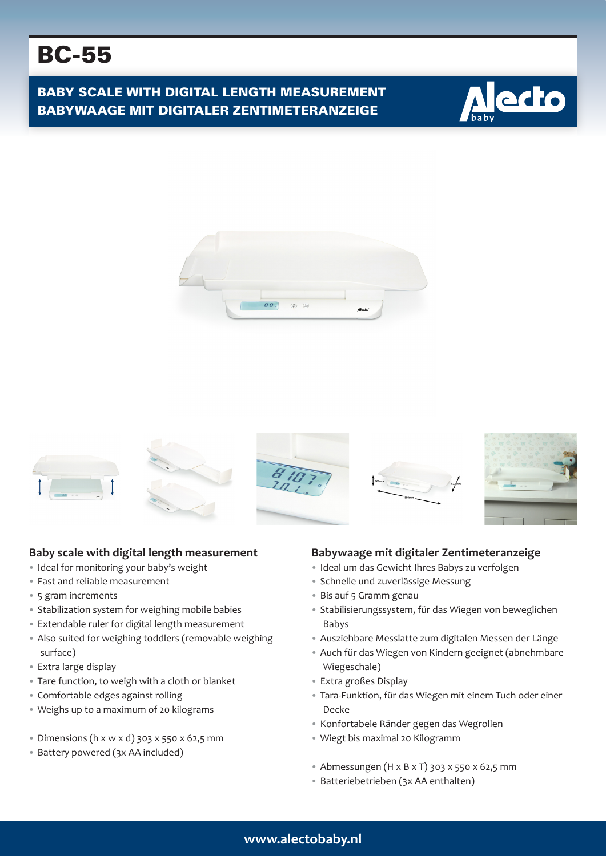# BC-55

BABY SCALE WITH DIGITAL LENGTH MEASUREMENT BABYWAAGE MIT DIGITALER ZENTIMETERANZEIGE







#### **Baby scale with digital length measurement**

- Ideal for monitoring your baby's weight
- Fast and reliable measurement
- 5 gram increments
- Stabilization system for weighing mobile babies
- Extendable ruler for digital length measurement
- Also suited for weighing toddlers (removable weighing surface)
- Extra large display
- Tare function, to weigh with a cloth or blanket
- Comfortable edges against rolling
- Weighs up to a maximum of 20 kilograms
- Dimensions (h x w x d) 303 x 550 x 62,5 mm
- Battery powered (3x AA included)

#### **Babywaage mit digitaler Zentimeteranzeige**

- Ideal um das Gewicht Ihres Babys zu verfolgen
- Schnelle und zuverlässige Messung
- Bis auf 5 Gramm genau
- Stabilisierungssystem, für das Wiegen von beweglichen Babys
- Ausziehbare Messlatte zum digitalen Messen der Länge
- Auch für das Wiegen von Kindern geeignet (abnehmbare Wiegeschale)
- Extra großes Display
- Tara-Funktion, für das Wiegen mit einem Tuch oder einer Decke
- Konfortabele Ränder gegen das Wegrollen
- Wiegt bis maximal 20 Kilogramm
- Abmessungen (H x B x T) 303 x 550 x 62,5 mm
- Batteriebetrieben (3x AA enthalten)